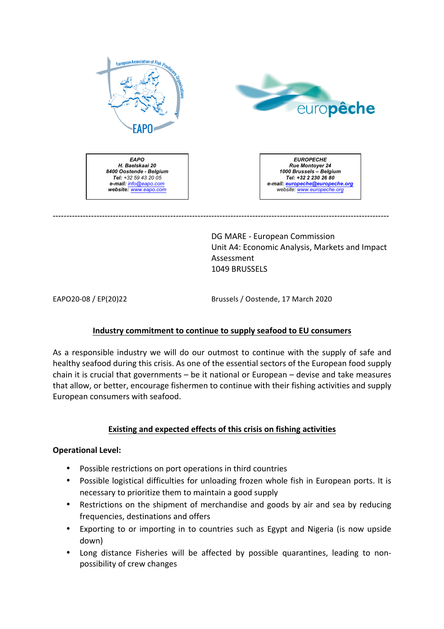



*EAPO H. Baelskaai 20 8400 Oostende - Belgium Tel: +32 59 43 20 05 e-mail: info@eapo.com website: www.eapo.com*

*EUROPECHE Rue Montoyer 24 1000 Brussels – Belgium Tel: +32 2 230 26 80 e-mail: europeche@europeche.org website: www.europeche.org*

DG MARE - European Commission Unit A4: Economic Analysis, Markets and Impact Assessment 1049 BRUSSELS

EAPO20-08 / EP(20)22 Brussels / Oostende, 17 March 2020

# **Industry commitment to continue to supply seafood to EU consumers**

---------------------------------------------------------------------------------------------------------------------------

As a responsible industry we will do our outmost to continue with the supply of safe and healthy seafood during this crisis. As one of the essential sectors of the European food supply chain it is crucial that governments  $-$  be it national or European  $-$  devise and take measures that allow, or better, encourage fishermen to continue with their fishing activities and supply European consumers with seafood.

# **Existing and expected effects of this crisis on fishing activities**

# **Operational Level:**

- Possible restrictions on port operations in third countries
- Possible logistical difficulties for unloading frozen whole fish in European ports. It is necessary to prioritize them to maintain a good supply
- Restrictions on the shipment of merchandise and goods by air and sea by reducing frequencies, destinations and offers
- Exporting to or importing in to countries such as Egypt and Nigeria (is now upside down)
- Long distance Fisheries will be affected by possible quarantines, leading to nonpossibility of crew changes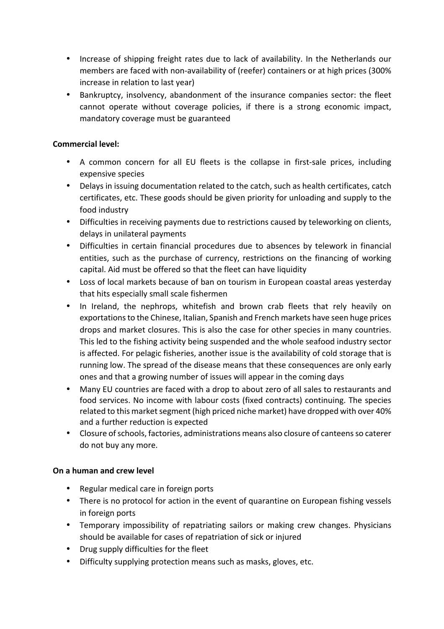- Increase of shipping freight rates due to lack of availability. In the Netherlands our members are faced with non-availability of (reefer) containers or at high prices (300% increase in relation to last year)
- Bankruptcy, insolvency, abandonment of the insurance companies sector: the fleet cannot operate without coverage policies, if there is a strong economic impact, mandatory coverage must be guaranteed

# **Commercial level:**

- A common concern for all EU fleets is the collapse in first-sale prices, including expensive species
- Delays in issuing documentation related to the catch, such as health certificates, catch certificates, etc. These goods should be given priority for unloading and supply to the food industry
- Difficulties in receiving payments due to restrictions caused by teleworking on clients, delays in unilateral payments
- Difficulties in certain financial procedures due to absences by telework in financial entities, such as the purchase of currency, restrictions on the financing of working capital. Aid must be offered so that the fleet can have liquidity
- Loss of local markets because of ban on tourism in European coastal areas yesterday that hits especially small scale fishermen
- In Ireland, the nephrops, whitefish and brown crab fleets that rely heavily on exportations to the Chinese, Italian, Spanish and French markets have seen huge prices drops and market closures. This is also the case for other species in many countries. This led to the fishing activity being suspended and the whole seafood industry sector is affected. For pelagic fisheries, another issue is the availability of cold storage that is running low. The spread of the disease means that these consequences are only early ones and that a growing number of issues will appear in the coming days
- Many EU countries are faced with a drop to about zero of all sales to restaurants and food services. No income with labour costs (fixed contracts) continuing. The species related to this market segment (high priced niche market) have dropped with over 40% and a further reduction is expected
- Closure of schools, factories, administrations means also closure of canteens so caterer do not buy any more.

# **On a human and crew level**

- Regular medical care in foreign ports
- There is no protocol for action in the event of quarantine on European fishing vessels in foreign ports
- Temporary impossibility of repatriating sailors or making crew changes. Physicians should be available for cases of repatriation of sick or injured
- Drug supply difficulties for the fleet
- Difficulty supplying protection means such as masks, gloves, etc.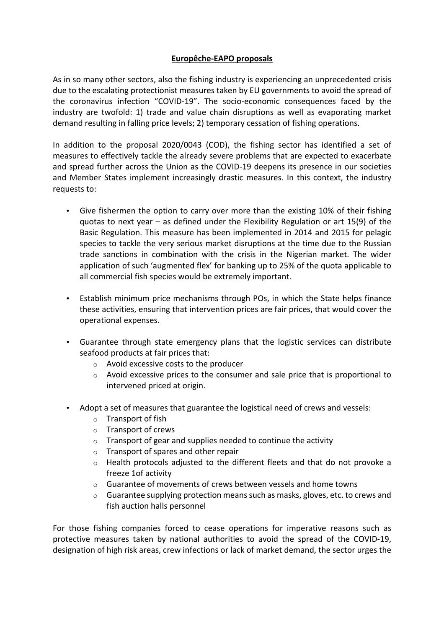# **Europêche-EAPO proposals**

As in so many other sectors, also the fishing industry is experiencing an unprecedented crisis due to the escalating protectionist measures taken by EU governments to avoid the spread of the coronavirus infection "COVID-19". The socio-economic consequences faced by the industry are twofold: 1) trade and value chain disruptions as well as evaporating market demand resulting in falling price levels; 2) temporary cessation of fishing operations.

In addition to the proposal 2020/0043 (COD), the fishing sector has identified a set of measures to effectively tackle the already severe problems that are expected to exacerbate and spread further across the Union as the COVID-19 deepens its presence in our societies and Member States implement increasingly drastic measures. In this context, the industry requests to:

- Give fishermen the option to carry over more than the existing 10% of their fishing quotas to next year  $-$  as defined under the Flexibility Regulation or art 15(9) of the Basic Regulation. This measure has been implemented in 2014 and 2015 for pelagic species to tackle the very serious market disruptions at the time due to the Russian trade sanctions in combination with the crisis in the Nigerian market. The wider application of such 'augmented flex' for banking up to 25% of the quota applicable to all commercial fish species would be extremely important.
- Establish minimum price mechanisms through POs, in which the State helps finance these activities, ensuring that intervention prices are fair prices, that would cover the operational expenses.
- Guarantee through state emergency plans that the logistic services can distribute seafood products at fair prices that:
	- $\circ$  Avoid excessive costs to the producer
	- $\circ$  Avoid excessive prices to the consumer and sale price that is proportional to intervened priced at origin.
- Adopt a set of measures that guarantee the logistical need of crews and vessels:
	- $\circ$  Transport of fish
	- $\circ$  Transport of crews
	- $\circ$  Transport of gear and supplies needed to continue the activity
	- $\circ$  Transport of spares and other repair
	- $\circ$  Health protocols adjusted to the different fleets and that do not provoke a freeze 1of activity
	- $\circ$  Guarantee of movements of crews between vessels and home towns
	- $\circ$  Guarantee supplying protection means such as masks, gloves, etc. to crews and fish auction halls personnel

For those fishing companies forced to cease operations for imperative reasons such as protective measures taken by national authorities to avoid the spread of the COVID-19, designation of high risk areas, crew infections or lack of market demand, the sector urges the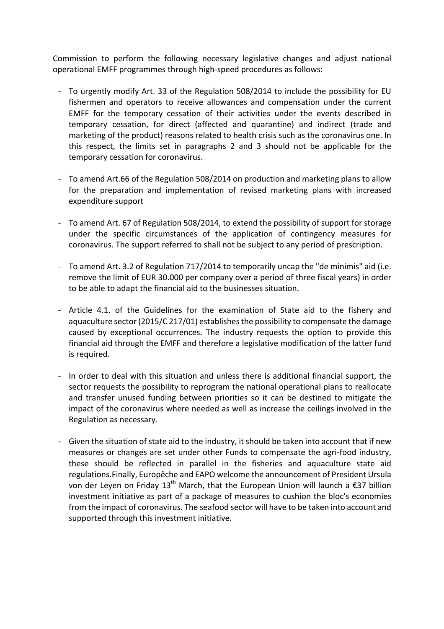Commission to perform the following necessary legislative changes and adjust national operational EMFF programmes through high-speed procedures as follows:

- To urgently modify Art. 33 of the Regulation 508/2014 to include the possibility for EU fishermen and operators to receive allowances and compensation under the current EMFF for the temporary cessation of their activities under the events described in temporary cessation, for direct (affected and quarantine) and indirect (trade and marketing of the product) reasons related to health crisis such as the coronavirus one. In this respect, the limits set in paragraphs 2 and 3 should not be applicable for the temporary cessation for coronavirus.
- To amend Art.66 of the Regulation 508/2014 on production and marketing plans to allow for the preparation and implementation of revised marketing plans with increased expenditure support
- To amend Art. 67 of Regulation 508/2014, to extend the possibility of support for storage under the specific circumstances of the application of contingency measures for coronavirus. The support referred to shall not be subject to any period of prescription.
- To amend Art. 3.2 of Regulation 717/2014 to temporarily uncap the "de minimis" aid (i.e. remove the limit of EUR 30.000 per company over a period of three fiscal years) in order to be able to adapt the financial aid to the businesses situation.
- Article 4.1. of the Guidelines for the examination of State aid to the fishery and aquaculture sector (2015/C 217/01) establishes the possibility to compensate the damage caused by exceptional occurrences. The industry requests the option to provide this financial aid through the EMFF and therefore a legislative modification of the latter fund is required.
- In order to deal with this situation and unless there is additional financial support, the sector requests the possibility to reprogram the national operational plans to reallocate and transfer unused funding between priorities so it can be destined to mitigate the impact of the coronavirus where needed as well as increase the ceilings involved in the Regulation as necessary.
- Given the situation of state aid to the industry, it should be taken into account that if new measures or changes are set under other Funds to compensate the agri-food industry, these should be reflected in parallel in the fisheries and aquaculture state aid regulations.Finally, Europêche and EAPO welcome the announcement of President Ursula von der Leyen on Friday 13<sup>th</sup> March, that the European Union will launch a €37 billion investment initiative as part of a package of measures to cushion the bloc's economies from the impact of coronavirus. The seafood sector will have to be taken into account and supported through this investment initiative.